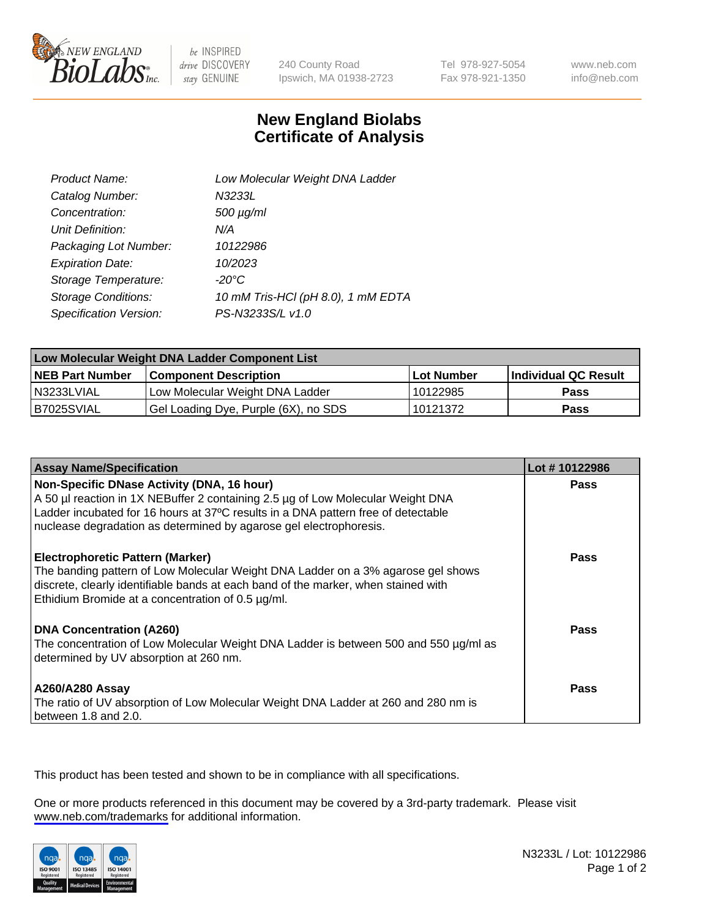

be INSPIRED drive DISCOVERY stay GENUINE

240 County Road Ipswich, MA 01938-2723 Tel 978-927-5054 Fax 978-921-1350

www.neb.com info@neb.com

## **New England Biolabs Certificate of Analysis**

| Product Name:              | Low Molecular Weight DNA Ladder    |
|----------------------------|------------------------------------|
| Catalog Number:            | N3233L                             |
| Concentration:             | 500 µg/ml                          |
| Unit Definition:           | N/A                                |
| Packaging Lot Number:      | 10122986                           |
| <b>Expiration Date:</b>    | 10/2023                            |
| Storage Temperature:       | $-20^{\circ}$ C                    |
| <b>Storage Conditions:</b> | 10 mM Tris-HCl (pH 8.0), 1 mM EDTA |
| Specification Version:     | PS-N3233S/L v1.0                   |

| Low Molecular Weight DNA Ladder Component List |                                      |                   |                      |  |
|------------------------------------------------|--------------------------------------|-------------------|----------------------|--|
| <b>NEB Part Number</b>                         | <b>Component Description</b>         | <b>Lot Number</b> | Individual QC Result |  |
| N3233LVIAL                                     | Low Molecular Weight DNA Ladder      | 10122985          | Pass                 |  |
| B7025SVIAL                                     | Gel Loading Dye, Purple (6X), no SDS | 10121372          | <b>Pass</b>          |  |

| <b>Assay Name/Specification</b>                                                                                                                                                                                                                                                          | Lot #10122986 |
|------------------------------------------------------------------------------------------------------------------------------------------------------------------------------------------------------------------------------------------------------------------------------------------|---------------|
| Non-Specific DNase Activity (DNA, 16 hour)<br>A 50 µl reaction in 1X NEBuffer 2 containing 2.5 µg of Low Molecular Weight DNA<br>Ladder incubated for 16 hours at 37°C results in a DNA pattern free of detectable<br>nuclease degradation as determined by agarose gel electrophoresis. | <b>Pass</b>   |
| <b>Electrophoretic Pattern (Marker)</b><br>The banding pattern of Low Molecular Weight DNA Ladder on a 3% agarose gel shows<br>discrete, clearly identifiable bands at each band of the marker, when stained with<br>Ethidium Bromide at a concentration of 0.5 µg/ml.                   | Pass          |
| <b>DNA Concentration (A260)</b><br>The concentration of Low Molecular Weight DNA Ladder is between 500 and 550 µg/ml as<br>determined by UV absorption at 260 nm.                                                                                                                        | Pass          |
| A260/A280 Assay<br>The ratio of UV absorption of Low Molecular Weight DNA Ladder at 260 and 280 nm is<br>between 1.8 and 2.0.                                                                                                                                                            | Pass          |

This product has been tested and shown to be in compliance with all specifications.

One or more products referenced in this document may be covered by a 3rd-party trademark. Please visit <www.neb.com/trademarks>for additional information.